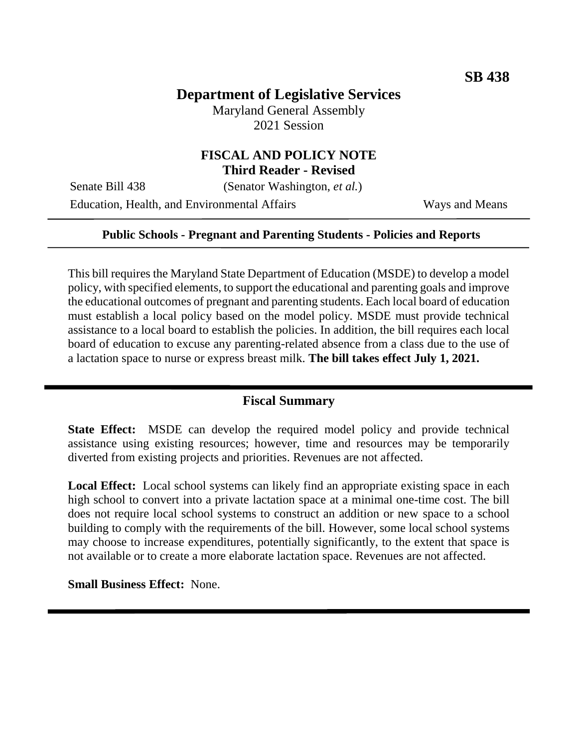## **Department of Legislative Services**

Maryland General Assembly 2021 Session

# **FISCAL AND POLICY NOTE**

**Third Reader - Revised**

Senate Bill 438 (Senator Washington, *et al.*) Education, Health, and Environmental Affairs Ways and Means

#### **Public Schools - Pregnant and Parenting Students - Policies and Reports**

This bill requires the Maryland State Department of Education (MSDE) to develop a model policy, with specified elements, to support the educational and parenting goals and improve the educational outcomes of pregnant and parenting students. Each local board of education must establish a local policy based on the model policy. MSDE must provide technical assistance to a local board to establish the policies. In addition, the bill requires each local board of education to excuse any parenting-related absence from a class due to the use of a lactation space to nurse or express breast milk. **The bill takes effect July 1, 2021.**

### **Fiscal Summary**

**State Effect:** MSDE can develop the required model policy and provide technical assistance using existing resources; however, time and resources may be temporarily diverted from existing projects and priorities. Revenues are not affected.

**Local Effect:** Local school systems can likely find an appropriate existing space in each high school to convert into a private lactation space at a minimal one-time cost. The bill does not require local school systems to construct an addition or new space to a school building to comply with the requirements of the bill. However, some local school systems may choose to increase expenditures, potentially significantly, to the extent that space is not available or to create a more elaborate lactation space. Revenues are not affected.

**Small Business Effect:** None.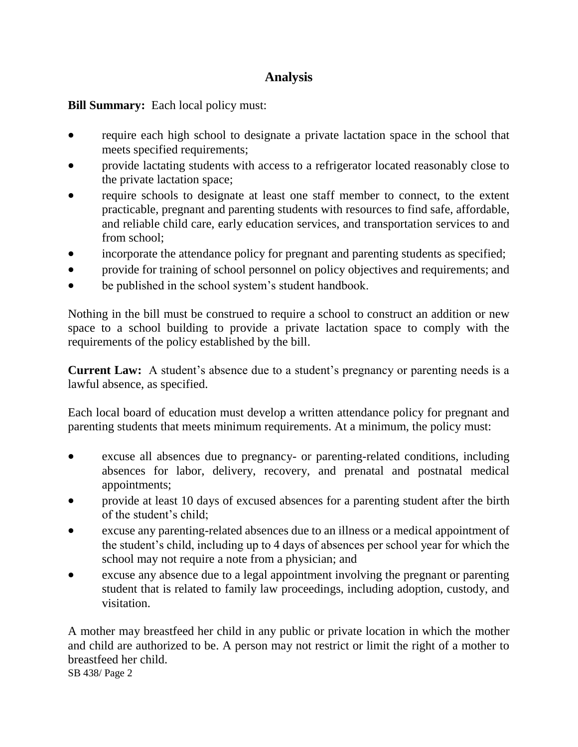## **Analysis**

**Bill Summary:** Each local policy must:

- require each high school to designate a private lactation space in the school that meets specified requirements;
- provide lactating students with access to a refrigerator located reasonably close to the private lactation space;
- require schools to designate at least one staff member to connect, to the extent practicable, pregnant and parenting students with resources to find safe, affordable, and reliable child care, early education services, and transportation services to and from school;
- incorporate the attendance policy for pregnant and parenting students as specified;
- provide for training of school personnel on policy objectives and requirements; and
- be published in the school system's student handbook.

Nothing in the bill must be construed to require a school to construct an addition or new space to a school building to provide a private lactation space to comply with the requirements of the policy established by the bill.

**Current Law:** A student's absence due to a student's pregnancy or parenting needs is a lawful absence, as specified.

Each local board of education must develop a written attendance policy for pregnant and parenting students that meets minimum requirements. At a minimum, the policy must:

- excuse all absences due to pregnancy- or parenting-related conditions, including absences for labor, delivery, recovery, and prenatal and postnatal medical appointments;
- provide at least 10 days of excused absences for a parenting student after the birth of the student's child;
- excuse any parenting-related absences due to an illness or a medical appointment of the student's child, including up to 4 days of absences per school year for which the school may not require a note from a physician; and
- excuse any absence due to a legal appointment involving the pregnant or parenting student that is related to family law proceedings, including adoption, custody, and visitation.

A mother may breastfeed her child in any public or private location in which the mother and child are authorized to be. A person may not restrict or limit the right of a mother to breastfeed her child.

SB 438/ Page 2